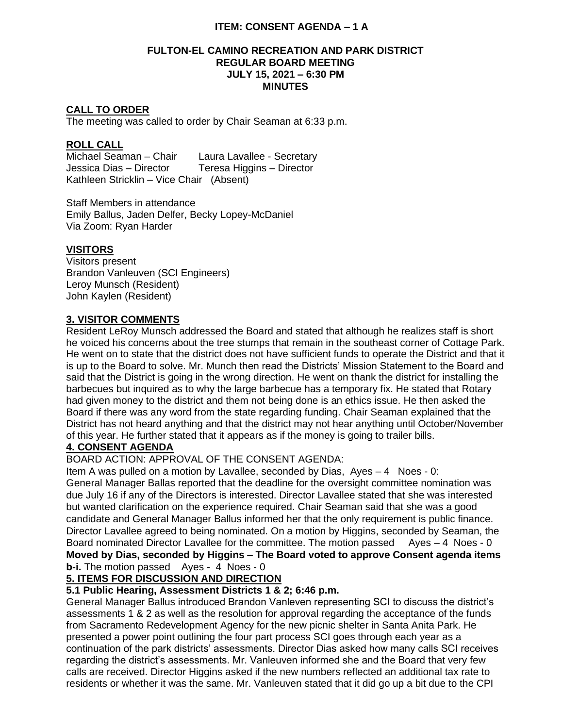#### **FULTON-EL CAMINO RECREATION AND PARK DISTRICT REGULAR BOARD MEETING JULY 15, 2021 – 6:30 PM MINUTES**

### **CALL TO ORDER**

The meeting was called to order by Chair Seaman at 6:33 p.m.

#### **ROLL CALL**

Michael Seaman – Chair Laura Lavallee - Secretary Jessica Dias – Director Teresa Higgins – Director Kathleen Stricklin – Vice Chair (Absent)

Staff Members in attendance Emily Ballus, Jaden Delfer, Becky Lopey-McDaniel Via Zoom: Ryan Harder

#### **VISITORS**

Visitors present Brandon Vanleuven (SCI Engineers) Leroy Munsch (Resident) John Kaylen (Resident)

### **3. VISITOR COMMENTS**

Resident LeRoy Munsch addressed the Board and stated that although he realizes staff is short he voiced his concerns about the tree stumps that remain in the southeast corner of Cottage Park. He went on to state that the district does not have sufficient funds to operate the District and that it is up to the Board to solve. Mr. Munch then read the Districts' Mission Statement to the Board and said that the District is going in the wrong direction. He went on thank the district for installing the barbecues but inquired as to why the large barbecue has a temporary fix. He stated that Rotary had given money to the district and them not being done is an ethics issue. He then asked the Board if there was any word from the state regarding funding. Chair Seaman explained that the District has not heard anything and that the district may not hear anything until October/November of this year. He further stated that it appears as if the money is going to trailer bills.

#### **4. CONSENT AGENDA**

BOARD ACTION: APPROVAL OF THE CONSENT AGENDA:

Item A was pulled on a motion by Lavallee, seconded by Dias, Ayes – 4 Noes - 0: General Manager Ballas reported that the deadline for the oversight committee nomination was due July 16 if any of the Directors is interested. Director Lavallee stated that she was interested but wanted clarification on the experience required. Chair Seaman said that she was a good candidate and General Manager Ballus informed her that the only requirement is public finance. Director Lavallee agreed to being nominated. On a motion by Higgins, seconded by Seaman, the Board nominated Director Lavallee for the committee. The motion passed Ayes - 4 Noes - 0 **Moved by Dias, seconded by Higgins – The Board voted to approve Consent agenda items b-i.** The motion passed Ayes - 4 Noes - 0

## **5. ITEMS FOR DISCUSSION AND DIRECTION**

### **5.1 Public Hearing, Assessment Districts 1 & 2; 6:46 p.m.**

General Manager Ballus introduced Brandon Vanleven representing SCI to discuss the district's assessments 1 & 2 as well as the resolution for approval regarding the acceptance of the funds from Sacramento Redevelopment Agency for the new picnic shelter in Santa Anita Park. He presented a power point outlining the four part process SCI goes through each year as a continuation of the park districts' assessments. Director Dias asked how many calls SCI receives regarding the district's assessments. Mr. Vanleuven informed she and the Board that very few calls are received. Director Higgins asked if the new numbers reflected an additional tax rate to residents or whether it was the same. Mr. Vanleuven stated that it did go up a bit due to the CPI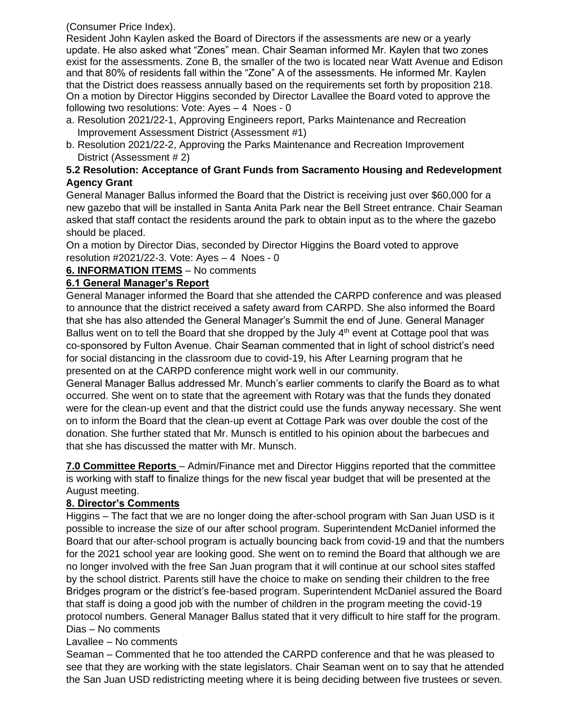(Consumer Price Index).

Resident John Kaylen asked the Board of Directors if the assessments are new or a yearly update. He also asked what "Zones" mean. Chair Seaman informed Mr. Kaylen that two zones exist for the assessments. Zone B, the smaller of the two is located near Watt Avenue and Edison and that 80% of residents fall within the "Zone" A of the assessments. He informed Mr. Kaylen that the District does reassess annually based on the requirements set forth by proposition 218. On a motion by Director Higgins seconded by Director Lavallee the Board voted to approve the following two resolutions: Vote: Ayes – 4 Noes - 0

- a. Resolution 2021/22-1, Approving Engineers report, Parks Maintenance and Recreation Improvement Assessment District (Assessment #1)
- b. Resolution 2021/22-2, Approving the Parks Maintenance and Recreation Improvement District (Assessment # 2)

## **5.2 Resolution: Acceptance of Grant Funds from Sacramento Housing and Redevelopment Agency Grant**

General Manager Ballus informed the Board that the District is receiving just over \$60,000 for a new gazebo that will be installed in Santa Anita Park near the Bell Street entrance. Chair Seaman asked that staff contact the residents around the park to obtain input as to the where the gazebo should be placed.

On a motion by Director Dias, seconded by Director Higgins the Board voted to approve resolution #2021/22-3. Vote: Ayes – 4 Noes - 0

**6. INFORMATION ITEMS** – No comments

# **6.1 General Manager's Report**

General Manager informed the Board that she attended the CARPD conference and was pleased to announce that the district received a safety award from CARPD. She also informed the Board that she has also attended the General Manager's Summit the end of June. General Manager Ballus went on to tell the Board that she dropped by the July  $4<sup>th</sup>$  event at Cottage pool that was co-sponsored by Fulton Avenue. Chair Seaman commented that in light of school district's need for social distancing in the classroom due to covid-19, his After Learning program that he presented on at the CARPD conference might work well in our community.

General Manager Ballus addressed Mr. Munch's earlier comments to clarify the Board as to what occurred. She went on to state that the agreement with Rotary was that the funds they donated were for the clean-up event and that the district could use the funds anyway necessary. She went on to inform the Board that the clean-up event at Cottage Park was over double the cost of the donation. She further stated that Mr. Munsch is entitled to his opinion about the barbecues and that she has discussed the matter with Mr. Munsch.

**7.0 Committee Reports** – Admin/Finance met and Director Higgins reported that the committee is working with staff to finalize things for the new fiscal year budget that will be presented at the August meeting.

# **8. Director's Comments**

Higgins – The fact that we are no longer doing the after-school program with San Juan USD is it possible to increase the size of our after school program. Superintendent McDaniel informed the Board that our after-school program is actually bouncing back from covid-19 and that the numbers for the 2021 school year are looking good. She went on to remind the Board that although we are no longer involved with the free San Juan program that it will continue at our school sites staffed by the school district. Parents still have the choice to make on sending their children to the free Bridges program or the district's fee-based program. Superintendent McDaniel assured the Board that staff is doing a good job with the number of children in the program meeting the covid-19 protocol numbers. General Manager Ballus stated that it very difficult to hire staff for the program. Dias – No comments

# Lavallee – No comments

Seaman – Commented that he too attended the CARPD conference and that he was pleased to see that they are working with the state legislators. Chair Seaman went on to say that he attended the San Juan USD redistricting meeting where it is being deciding between five trustees or seven.